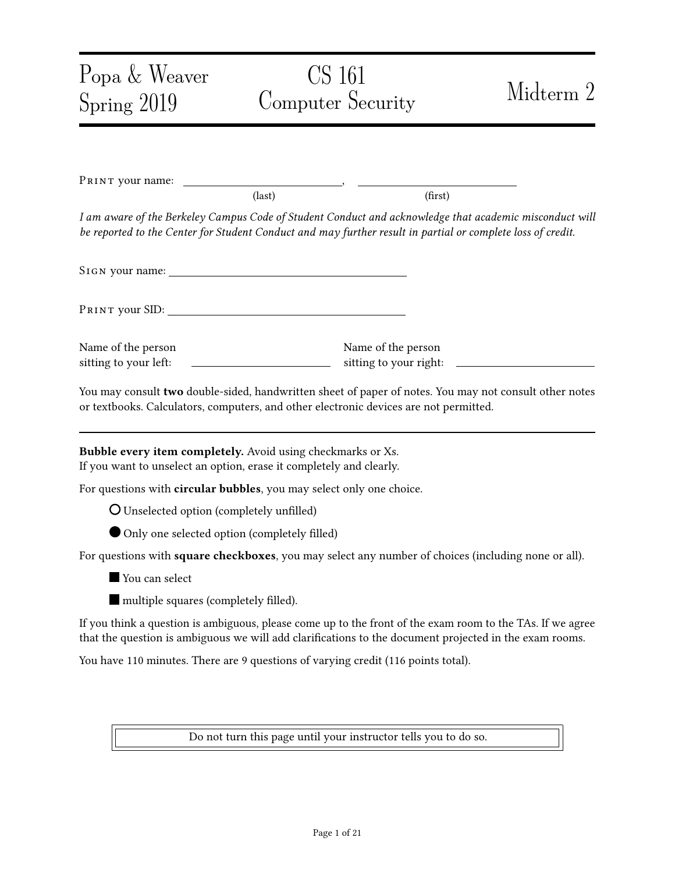| Popa & Weaver                                                                                                                      | CS 161                                                                                                               |                                                                 | Midterm 2                                                                                                                                                                                                            |
|------------------------------------------------------------------------------------------------------------------------------------|----------------------------------------------------------------------------------------------------------------------|-----------------------------------------------------------------|----------------------------------------------------------------------------------------------------------------------------------------------------------------------------------------------------------------------|
| Spring 2019                                                                                                                        | Computer Security                                                                                                    |                                                                 |                                                                                                                                                                                                                      |
|                                                                                                                                    |                                                                                                                      |                                                                 |                                                                                                                                                                                                                      |
| PRINT your name:                                                                                                                   |                                                                                                                      |                                                                 |                                                                                                                                                                                                                      |
|                                                                                                                                    | $\text{(last)}$                                                                                                      | (first)                                                         |                                                                                                                                                                                                                      |
| be reported to the Center for Student Conduct and may further result in partial or complete loss of credit.                        |                                                                                                                      |                                                                 | I am aware of the Berkeley Campus Code of Student Conduct and acknowledge that academic misconduct will                                                                                                              |
|                                                                                                                                    |                                                                                                                      |                                                                 |                                                                                                                                                                                                                      |
|                                                                                                                                    |                                                                                                                      |                                                                 |                                                                                                                                                                                                                      |
| Name of the person<br>sitting to your left:                                                                                        | <u> 1980 - Jan Stein Stein Stein Stein Stein Stein Stein Stein Stein Stein Stein Stein Stein Stein Stein Stein S</u> | Name of the person                                              |                                                                                                                                                                                                                      |
| or textbooks. Calculators, computers, and other electronic devices are not permitted.                                              |                                                                                                                      |                                                                 | You may consult two double-sided, handwritten sheet of paper of notes. You may not consult other notes                                                                                                               |
| Bubble every item completely. Avoid using checkmarks or Xs.<br>If you want to unselect an option, erase it completely and clearly. |                                                                                                                      |                                                                 |                                                                                                                                                                                                                      |
| For questions with circular bubbles, you may select only one choice.                                                               |                                                                                                                      |                                                                 |                                                                                                                                                                                                                      |
| O Unselected option (completely unfilled)                                                                                          |                                                                                                                      |                                                                 |                                                                                                                                                                                                                      |
| Only one selected option (completely filled)                                                                                       |                                                                                                                      |                                                                 |                                                                                                                                                                                                                      |
|                                                                                                                                    |                                                                                                                      |                                                                 | For questions with square checkboxes, you may select any number of choices (including none or all).                                                                                                                  |
| You can select                                                                                                                     |                                                                                                                      |                                                                 |                                                                                                                                                                                                                      |
| multiple squares (completely filled).                                                                                              |                                                                                                                      |                                                                 |                                                                                                                                                                                                                      |
|                                                                                                                                    |                                                                                                                      |                                                                 | If you think a question is ambiguous, please come up to the front of the exam room to the TAs. If we agree<br>that the question is ambiguous we will add clarifications to the document projected in the exam rooms. |
| You have 110 minutes. There are 9 questions of varying credit (116 points total).                                                  |                                                                                                                      |                                                                 |                                                                                                                                                                                                                      |
|                                                                                                                                    |                                                                                                                      |                                                                 |                                                                                                                                                                                                                      |
|                                                                                                                                    |                                                                                                                      | Do not turn this page until your instructor tells you to do so. |                                                                                                                                                                                                                      |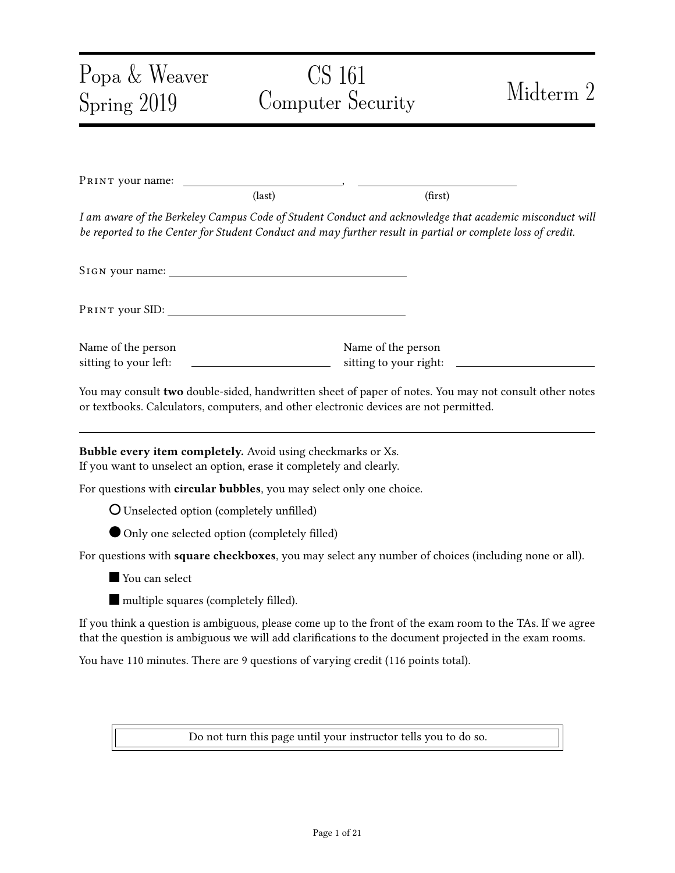### **Problem 1** True or False (20 points) (20 points)

You don't need to provide an explanation to any part of this question.

(a) True or False: TCP sequence numbers prevent replay attacks within the same TLS session. (Assume less than 2 <sup>31</sup> bytes of data has been transferred.)

O TRUE PALSE

Solution: TLS does not encrypt or provide integrity on the TCP layer since TLS is built on TCP.

(b) True or False: A single message in TLS can be split into many TCP packets, and remains secure.

E **D** FALSE

Solution: As above–TLS is layered on top of TCP and so TCP can do weird things independent of TLS.

(c)  $T_{RUE}$  or  $F_{AUSE}$ : www. example. com can set a cookie with the flag  $Ht$ tpOnly. Then, this cookie can only be accessed through HTTP, but cannot be accessed through HTTPS.



Solution: As above–TLS is layered on top of TCP and so TCP can do weird things independent of TLS.

(d) TRUE or FALSE: WWW. example. COm/C can set a cookie with the flag path = /a in a user's browser. Then, when the user visits the site www. example. com/a/b, the user's browser will send this cookie.



TRUE **O** FALSE

Solution: Two parts of the cookie policy: (1) domains can set to any other path and (2) any subpath of the path will receive a cookie.

(e) True or False: Say that example.com uses both DNSSEC and HTTPS. If the DNSSEC KSK of example. com is compromised, data received from https://example. com is not assured to be confidential.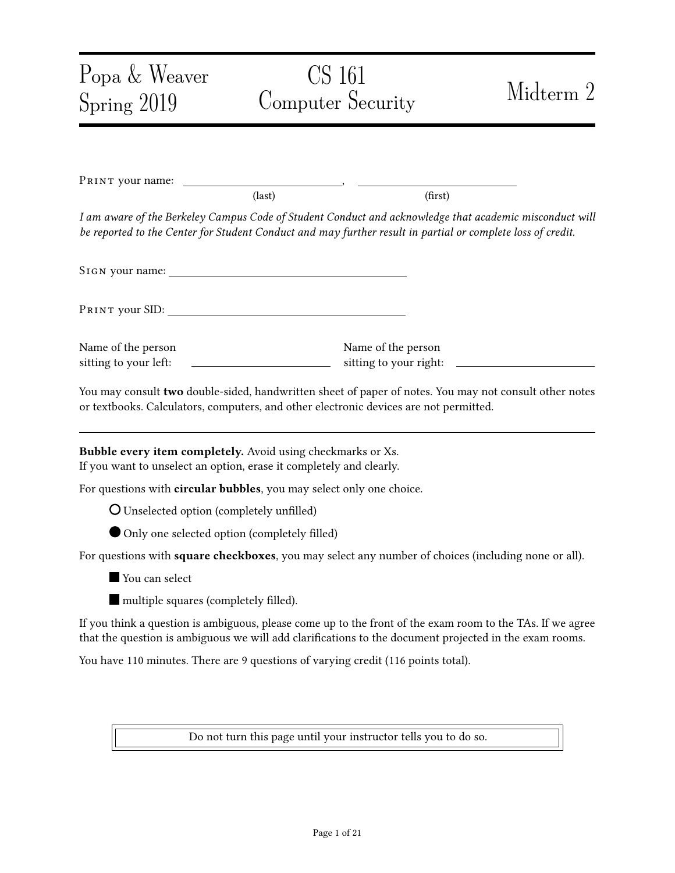



(f) True or False: Say that example.com uses both DNSSEC and HTTPS. If the TLS private key of example. com is leaked, data received from https: //example. com is not assured to be confidential.

| O FALSE |
|---------|
|         |

Solution: DNSSEC does not provide confidentiality, TLS does.

(g) TRUE or FALSE: Say that a user sends a DNS query asking for  $nx$ . example. com, but this domain does not exist. One advantage of NSEC3 over NSEC is that NSEC3 hides the domain name that does not exist, i.e., nx. example. com.



**Solution:** NSEC3 hides (somewhat) the *existing* domains of the domain name.

(h)  $T_{RUE}$  or  $F_{AUSE}$ : A banking website requires the user to attach their password as a form field in every HTTPS request to the website. If the password is incorrect, the bank ignores the request. Assume that the bank accepts only HTTPS connections. If the user's password is sufficiently high-entropy, this method prevents CSRF.



TRUE **O** FALSE

Solution: This provides protection against CSRF because a web attacker does not know the password.

(i) True or False: Randomizing the source port used by DNS queries can help prevent on-path attackers from spoofing DNS replies.



Solution: An on-path attacker can see the source port in the DNS reply, so randomization provides no additional security.

(j) True or False: An on-path attacker who successfully spoofs a DHCP reply can become a man-in-the-middle for all victim traffic to the Internet.



TRUE **O** FALSE

Solution: Yes, they can spoof the IP of the gateway router.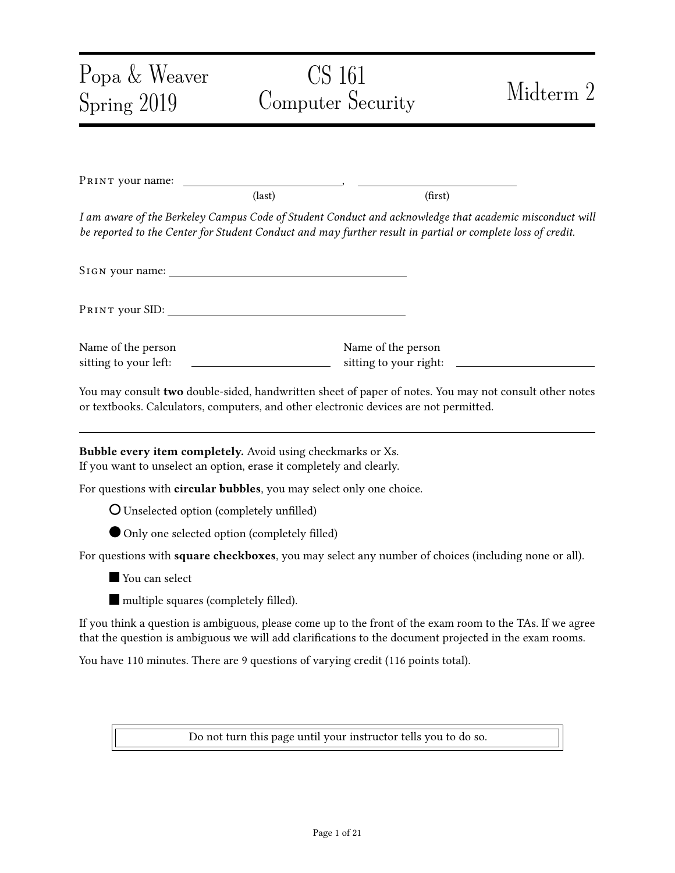### Problem 2 Wildcard DNSSEC (11 points) (11 points)

In this question, we discuss a variant of DNSSEC that supports wildcards.

We define a *wildcard* domain as a domain that matches many subdomains.

• For example, the wildcard domain  $*$ . google.com matches *all* domains under google.com, including mail.google.com and drive.google.com. Here, the star  $*$  indicates a wildcard.

We define a non-wildcard domain as a domain with no wildcard, such as maps.google.com.

- Importantly, non-wildcard domain records take priority over the wildcard domain records.
- For example, if there are two records:

$$
\boxed{\text{900}} \text{e.com} \qquad \qquad 5.6.7.8
$$
\n
$$
\boxed{\text{mail .900}} \text{e.com} \qquad \boxed{1.2.3.4}
$$

then the DNS server should respond 1.2.3.4 as the IP address of mail.google.com.

- (a) In classical DNSSEC, if a user asks for the IP address of mail.google.com, and there is a nonwildcard record, the DNS server will return:
	- 1. the IP address of mail.google.com.
	- 2. the signature of the record containing the IP address.

Question: What is the type of the record (e.g., A, NS) that contains the information above?

- 1. the IP address of mail.google.com...
	- ... is in a record of the type \_\_\_\_\_\_\_\_\_\_\_\_\_ (write the record type).
- 2. the signature of the record above...
	- ... is in a record of the type \_\_\_\_\_\_\_\_\_\_\_\_\_\_\_(write the record type).

Solution: A, RRSIG (4 points)

- (b) We now modify the DNSSEC protocol to support wildcards, as follows:
	- Consider a user who asks the IP address of the domain abc. google. com. There is only a wildcard record that matches abc.google.com, as follows:

 $*$ . google. com  $5.6.7.8$ 

• The server will return a record that consists of:

(abc.google.com, 5.6.7.8),

and a signature over this record.

However, this design is not good because it involves *online signing*; that is, the server cannot precompute the signature.

Question: List one drawback of having online signing in DNSSEC. (write less than 10 words)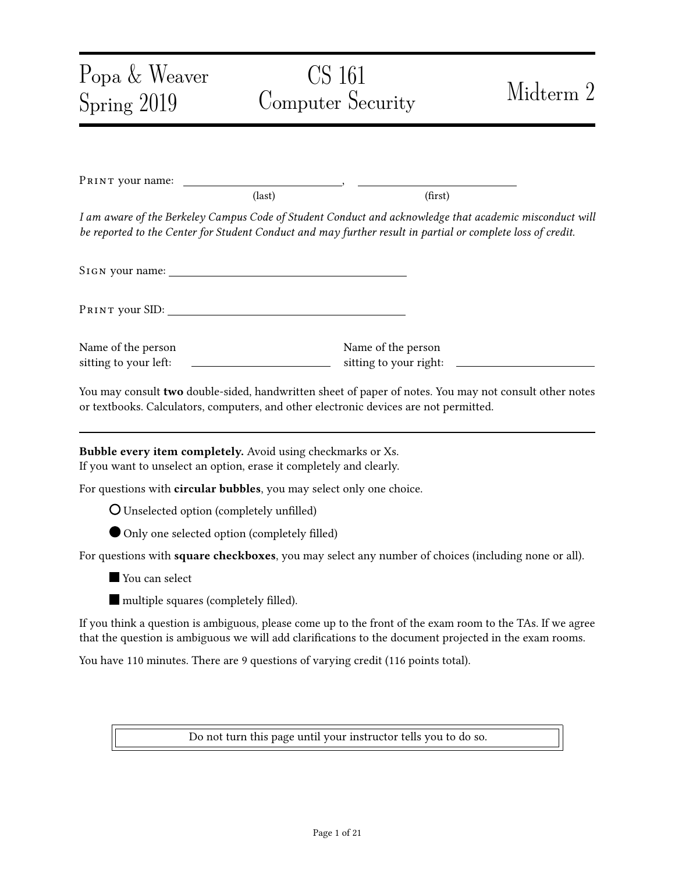Solution: Answer one of the following:

1. online signing adds latency and consumes more resources from the DNS server

\_\_\_\_\_\_\_\_\_\_\_\_\_\_\_\_\_\_\_\_\_\_\_\_\_\_\_\_\_\_\_\_\_\_\_\_\_\_\_\_\_\_\_\_\_\_\_\_\_\_\_\_\_\_\_\_\_\_\_\_\_\_\_\_\_\_\_\_\_\_

2. online signing requires having DNS keys on the DNS servers (greater risk of compromise)

3. can make the server more vulnerable to DoS/DDoS

(3 points)

(c) To remove the online signing, we can have the DNS server instead do the following:

• Return the wildcard record, which consists of:

 $(* . qoodle.com, 5.6.7.8),$ 

• Return a signature over the record above.

A client who asks abc. google. com will receive this response. The client will believe that:

\_\_\_\_\_\_\_\_\_\_\_\_\_\_\_\_\_\_\_\_\_\_\_\_\_\_\_\_\_\_\_\_\_\_\_\_\_\_\_\_\_\_\_\_\_\_\_\_\_\_\_\_\_\_\_\_\_\_\_\_\_\_\_\_\_\_\_\_\_\_

\_\_\_\_\_\_\_\_\_\_\_\_\_\_\_\_\_\_\_\_\_\_\_\_\_\_\_\_\_\_\_\_\_\_\_\_\_\_\_\_\_\_\_\_\_\_\_\_\_\_\_\_\_\_\_\_\_\_\_\_\_\_\_\_\_\_\_\_\_\_

- No non-wildcard record matches the query.
- Only the wildcard captures this domain.

Question: Is this design secure? If yes, explain why. If not, explain how it could be made secure without requiring online signing (max 15 words).



Solution: This design is insecure. Say mai I. google. com is a domain where there is a nonwildcard record that matches it. The attacker can return the wildcard response above to the victim client, and the victim will believe  $5.6.7.8$  is the IP address for mail.google.com. But the IP address should be 1.2.3.4, as discussed earlier in this problem.

To be made secure, the server needs to provide a signed statement that proves that the requested domain is not an existing non-wildcard domain. One possibility is providing a signed NSEC (or NSEC3) record. (4 points)

If the student did not write "with signature" or "signed" or "RRSIG on NSEC", only 2 points.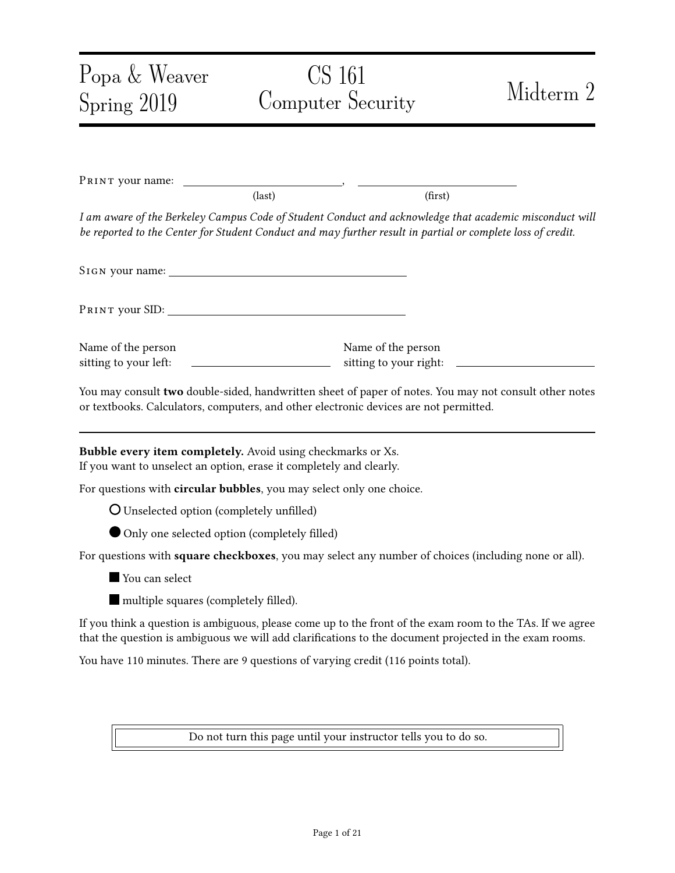## Problem 3 Online Banking (16 points) (16 points)

In an online banking system, each customer has a unique username and a secret numerical PIN. To access the banking website, a customer logs in to this web system using their username and PIN.

Suppose the login script uses the following PHP code:

\$user = escape\_sql(\$\_GET['username']);  $$pi = $GET['PIN']$ ; \$query = "SELECT \* FROM Users WHERE user = '\$user' AND pin = '\$pin'";  $s$ results =  $s$ db->executeQuery(query); if (\$results->numRows != 1)  $\{$ ^\* login fails  $^*/$ } else {/\* login succeeds as \$user \*/}

Here, the escape\_sql function escapes all quotes, dashes, and semicolons. You may assume that SQL injection cannot be performed from any input that has been sanitized with escape\_sql.

(a) Mallory obtains the source code of the login script and notices that it is vulnerable to SQL injection.

**Question:** Describe *what input* Mallory should use  $(e.g., \S$  GET['username'],  $\S$  GET['PIN']) to exploit this vulnerability in order to drop the table Users.

\$\_GET['username'] = \_\_\_\_\_\_\_\_\_\_\_\_\_\_\_\_\_\_\_\_\_\_\_\_\_\_\_\_\_\_\_\_\_\_\_\_\_\_\_\_\_\_\_\_\_\_\_\_\_\_\_\_\_\_\_\_\_\_\_\_\_\_

\$\_GET['PIN'] = \_\_\_\_\_\_\_\_\_\_\_\_\_\_\_\_\_\_\_\_\_\_\_\_\_\_\_\_\_\_\_\_\_\_\_\_\_\_\_\_\_\_\_\_\_\_\_\_\_\_\_\_\_\_\_\_\_\_\_\_\_\_\_\_\_\_\_\_

Solution: Mallory can drop the Users table by passing anything as the username and "'; DROP TABLE Users; --" as the PIN; it results in the following query being executed:

SELECT  $*$  FROM Users WHERE user = '' AND pin = ''; DROP TABLE Users; --

The student should use "; " for separation (2 points) and '--" to end the SQL query (or properly start a "'" which will be ended by the "'" in the query) (2.5 points).

This question thus has 4.5 points in total.

(b) Mallory knows a rich user whose username is "al i ce".

Question: Explain what input Mallory should use for SQL injection in order to log in to the online banking system as Alice, without knowing Alice's PIN.

 $\text{\$}\_\text{GET}$ ['username'] =

 $$GET['PIN'] =$ 

Solution: Mallory can log in as Alice by passing in "al i ce" as the username and "' OR user =  $\Box$  al i ce'; --" as PIN. This results in the following query being executed:

SELECT  $*$  FROM Users WHERE user = 'alice' AND pin = '' OR user = 'alice'; --'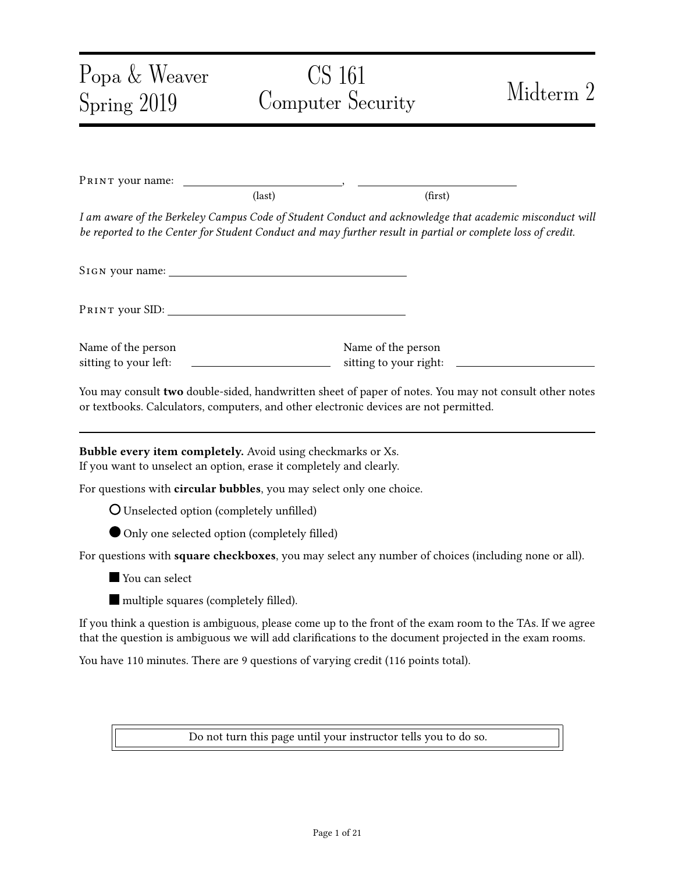Another possibility is having the PIN be "' OR user = 'alice", as the "'" before alice will match the ending "'" in the query. (this part has 4 points)

If the student instead uses Alice as the username but adds an OR condition that's always true at the end, the SQL query will still work, but the number of rows in the result is likely not 1. In that case, the student will only receive 1.5 points.

It is very important to use Alice as the username. If not, minus 1.5 points.

- (c) The bank decides to fix the SOL injection bug by constraining the PIN that the user enters to be an integer, as follows.
	- Change the HTML of the login page:
		- From:

<form action="/login.php" method="POST"> <p>Username: <input type="text" name="username" /></p>  $p>PIN:$  <input type=" $\textrm{text}$ " name="PIN" /></p> <p><input type="submit" value="Login" /></p> </form>

– To:

```
<form action="/login.php" method="POST">
<p>Username: <input type="text" name="username" /></p>
p>PIN: <input type="\boxed{\text{number}}" name="PIN" /></p>
<p><input type="submit" value="Login" /></p>
</form>
```
- The <i nput> element with "type=number" will be treated differently by the web browser. The web browser will prevent the user from entering non-numerical data into this input field.
- *No* change to the PHP script.

TRUE OF FALSE: Does this fix prevent the SQL injection in parts (a) and (b)?

O TRUE PALSE

You don't need to provide an explanation.

Solution: Mallory can still perform the attacks. The requirement that the PIN is a number is enforced by the browser, but it should be enforced by the server. Mallory can forge HTTP request and send the same string as the PIN. (2.5 points)

(d) The bank later did a major re-design of their website. Unfortunately, the new version was vulnerable to a CSRF attack. Mallory notices that she can exploit it by having another user make a GET request like:

/transfer?amt=1 &to=Mallory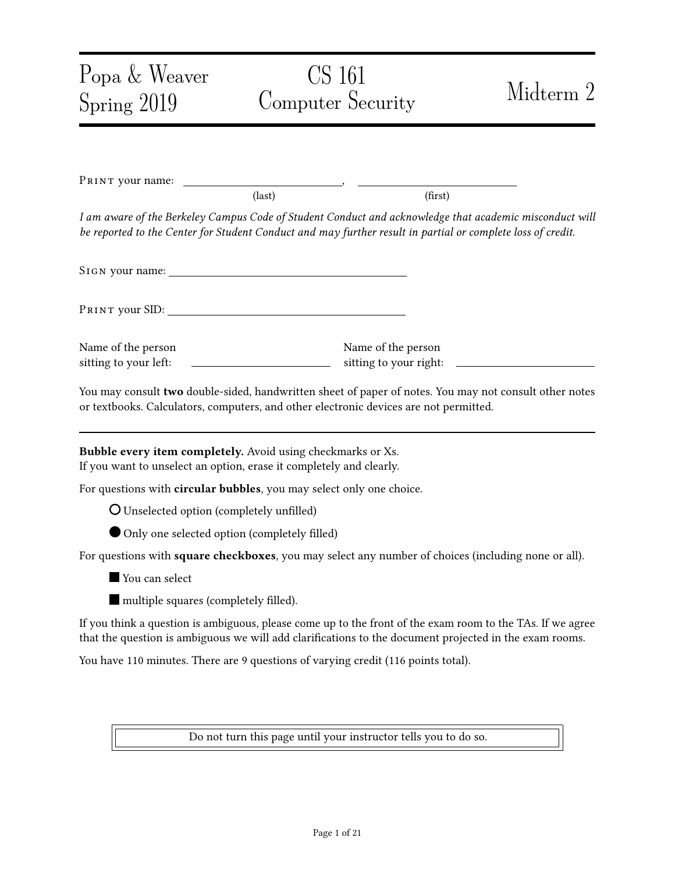and the user who makes this GET request will send \$100 to Mallory.

For each of the choices below, mark if it defends against CSRF. Assume that aside from the /transfer? endpoint, no other part of the bank is vulnerable to any web attacks.

Select 0 to 5 options.

- $\square$  Disable JavaScript from executing on the bank's website via content security policy (CSP).
- $\Box$  Add a new request parameter "from=" to the /transfer? endpoint. If "from" does not match the name of the currently logged in user according to the session cookie, reject the request.
- When a user logs in, send them a new cookie called Token, which consists of 128 random digits (different for each user). When a user makes a request to transfer money, the bank uses JavaScript to retrieve the cookie and add it as a query parameter "token=" to the /transfer endpoint. The bank checks that the token query parameter matches what the cookie was originally set to for this user.
- When a user logs in, send them a new cookie called Token, the same one above. When the user makes a request to the /transfer? endpoint, the bank checks that cookie sent by the user matches what the cookie was originally set to for this user.
- Reject any request to the /transfer? endpoint where the Referer is not the bank's website.

Solution: 5 points total. 1 point for each correct marking.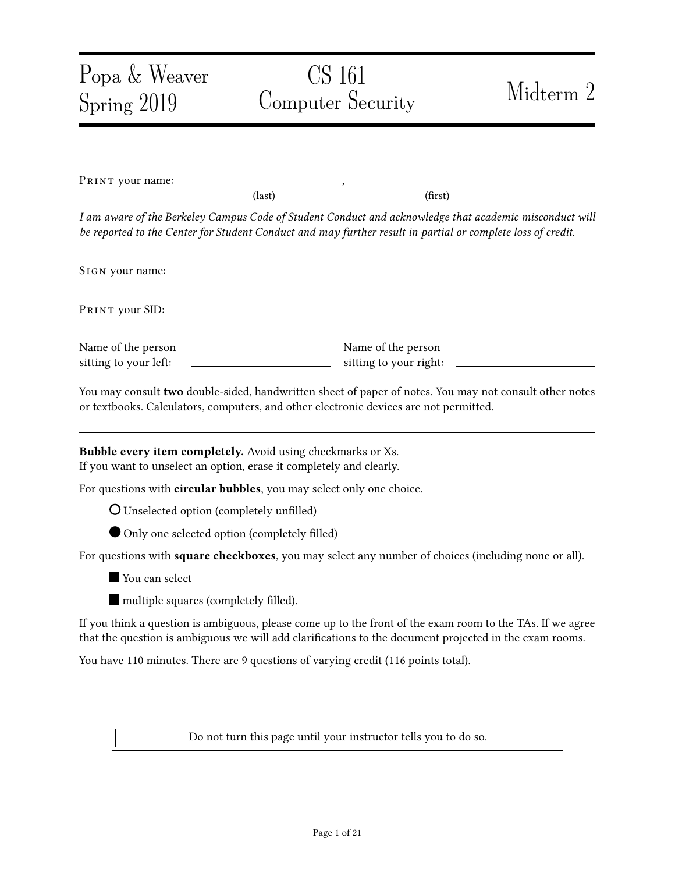# **Problem 4** The Subtle TLS (10 points) (10 points)

This question talks about a *modi ed* RSA TLS protocol. Recall in RSA TLS, the client sends to the server, and then the server replies with to the client. The cipher and integrity keys are generated by putting , , and the premaster secret together into a PRNG, like (  $\qquad \qquad$  ).

For each part of the question, assume an attacker with the following capabilities:

- The attacker is a man-in-the-middle.
- The attacker also controls a website  $evi$  I . example. com, with a valid HTTPS certificate. The user may connect to this site while browsing the Internet.
- (a) Let us assume that in RSA TLS, we make the following change. We generate the pre-master secret  $by =$ , where is bit-wise XOR.

TRUE OF FALSE and Explain: This modified protocol preserves the integrity of RSA TLS.

\_\_\_\_\_\_\_\_\_\_\_\_\_\_\_\_\_\_\_\_\_\_\_\_\_\_\_\_\_\_\_\_\_\_\_\_\_\_\_\_\_\_\_\_\_\_\_\_\_\_\_\_\_\_\_\_\_\_\_\_\_\_\_\_\_\_\_\_\_\_

\_\_\_\_\_\_\_\_\_\_\_\_\_\_\_\_\_\_\_\_\_\_\_\_\_\_\_\_\_\_\_\_\_\_\_\_\_\_\_\_\_\_\_\_\_\_\_\_\_\_\_\_\_\_\_\_\_\_\_\_\_\_\_\_\_\_\_\_\_\_

O TRUE PALSE

Explain concisely:

**Solution:** No because a MITM can calculate and derive the integrity keys, since and are sent in the clear. (3 points)

(b) Let us assume that in RSA TLS, we make the following change. Instead of providing " as input to the PRNG, both parties provide " as the only input to the PRNG. That is, the cipher and integrity keys will depend only on  $($ 

True or False and Explain: This preserves the security of TLS against replay attacks.

\_\_\_\_\_\_\_\_\_\_\_\_\_\_\_\_\_\_\_\_\_\_\_\_\_\_\_\_\_\_\_\_\_\_\_\_\_\_\_\_\_\_\_\_\_\_\_\_\_\_\_\_\_\_\_\_\_\_\_\_\_\_\_\_\_\_\_\_\_\_

\_\_\_\_\_\_\_\_\_\_\_\_\_\_\_\_\_\_\_\_\_\_\_\_\_\_\_\_\_\_\_\_\_\_\_\_\_\_\_\_\_\_\_\_\_\_\_\_\_\_\_\_\_\_\_\_\_\_\_\_\_\_\_\_\_\_\_\_\_\_

 $O$  FALSE

Explain concisely:

**Solution:** Yes. In RSA TLS, an attacker replays by pretending to be the client and sending out the same encrypted . Note that the client is the first party to send out the random nonce , so there is no way for the client to adaptively choose based on the server's nonce Therefore, will be a new random; as a result, different keys will be derived.

(c) Let us assume that in RSA TLS, we make the following change. Rather than generating the randomly, the client begins with an initial value For each TLS connection the client makes, it simply increments the  $\alpha$  as  $\alpha$  + 1.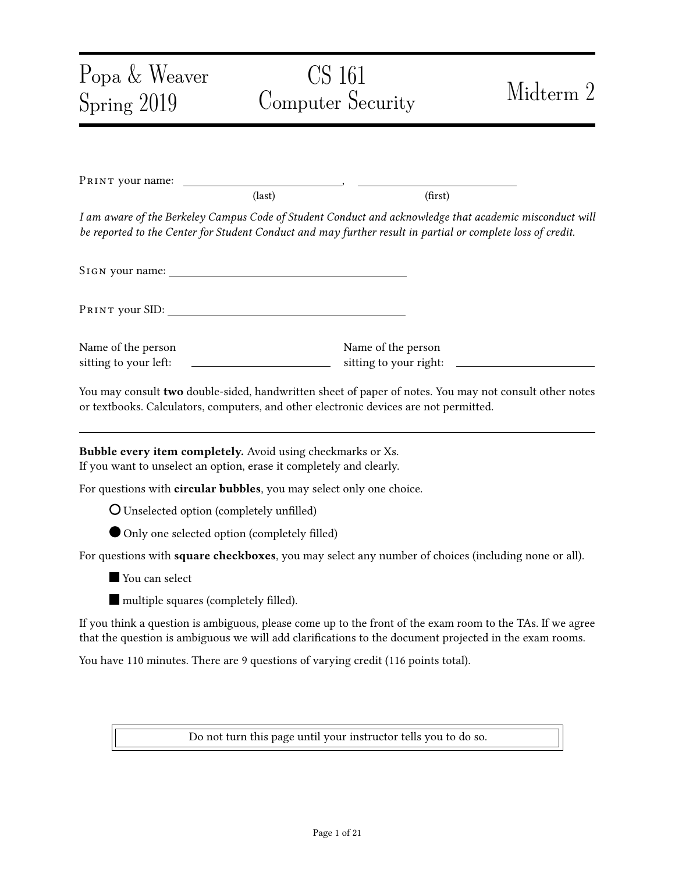True or False and Explain: This preserves the condentiality of RSA TLS.

\_\_\_\_\_\_\_\_\_\_\_\_\_\_\_\_\_\_\_\_\_\_\_\_\_\_\_\_\_\_\_\_\_\_\_\_\_\_\_\_\_\_\_\_\_\_\_\_\_\_\_\_\_\_\_\_\_\_\_\_\_\_\_\_\_\_\_\_\_\_

\_\_\_\_\_\_\_\_\_\_\_\_\_\_\_\_\_\_\_\_\_\_\_\_\_\_\_\_\_\_\_\_\_\_\_\_\_\_\_\_\_\_\_\_\_\_\_\_\_\_\_\_\_\_\_\_\_\_\_\_\_\_\_\_\_\_\_\_\_\_

O TRUE PALSE

Explain concisely:

Solution: Client can connect to attacker's server, then attacker can decrypt PS and derive the other values of PS used (in the past and future), then derive cipher keys for other connections. (3 points)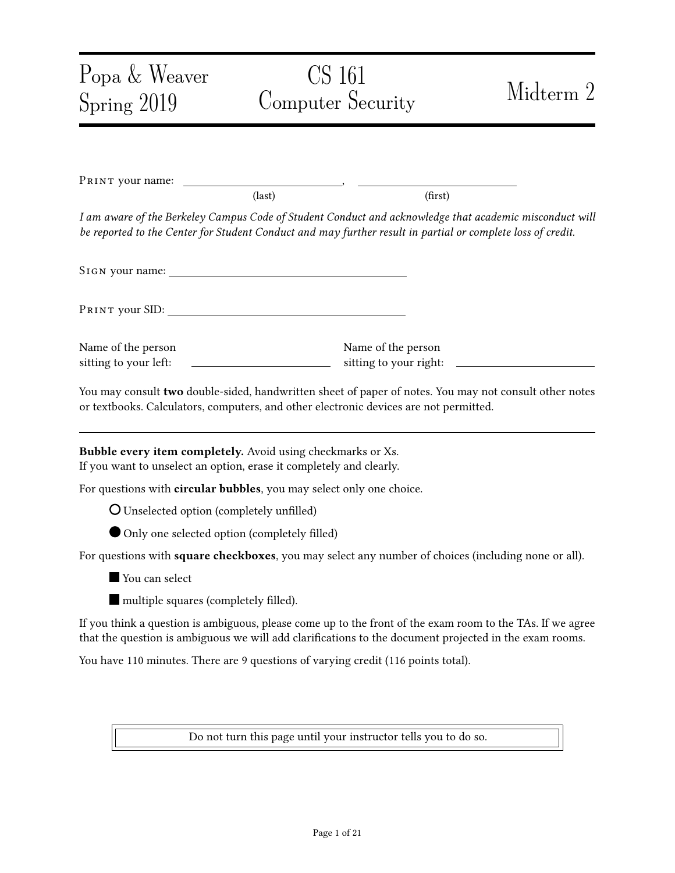### **Problem 5** WPA2 Security (13 points)

Recall the WPA2 handshake protocol based on pre-shared keys, as follows:

- The pre-shared key (PSK) is computed from the passphrase (i.e., the Wi-Fi password) and network SSID (*i.e.*, the name of the Wi-Fi network).
- Pairwise transient key (PTK) is determined from the ANonce, SNonce, and the pre-shared key (PSK) using a pseudorandom generator.
- The client derives the encryption and MIC keys from the PTK.
- (a) True or False: The WPA2 protocol described above provides forward secrecy.

O TRUE PALSE

You don't need to provide an explanation.

Solution: No. Everything but the PSK is public (ANonce and SNonce), so knowing the PSK allows an attacker to decrypt past messages. (3 points)

(b) Alice connected her computer to a Wi-Fi access point and accessed a few websites. An eavesdropper recorded the ANonce, SNonce, and all other messages in Alice's connection.

With the information collected above, the eavesdropper can brute-force the passphrase. We consider that at this moment, the eavesdropper guesses that might be the correct passphrase.

Question: How can the eavesdropper confirm whether or not is the correct passphrase without connecting to the Wi-Fi access point? (answer concisely)

Solution: The eavesdropper can generate the MIC key and check whether the MIC generated is correct under this key. (3 points)

(c) A man-in-the-middle attacker knows the PSK of a Wi-Fi access point. Alice's laptop has been connected to this access point and is visiting https://www.chase.com/. Alice visited this website and logged in by providing her password.

True or False: A man-in-the-middle attacker can see Alice's banking password.

\_\_\_\_\_\_\_\_\_\_\_\_\_\_\_\_\_\_\_\_\_\_\_\_\_\_\_\_\_\_\_\_\_\_\_\_\_\_\_\_\_\_\_\_\_\_\_\_\_\_\_\_\_\_\_\_\_\_\_\_\_\_\_\_\_\_\_\_\_\_

\_\_\_\_\_\_\_\_\_\_\_\_\_\_\_\_\_\_\_\_\_\_\_\_\_\_\_\_\_\_\_\_\_\_\_\_\_\_\_\_\_\_\_\_\_\_\_\_\_\_\_\_\_\_\_\_\_\_\_\_\_\_\_\_\_\_\_\_\_\_



Explain concisely: \_\_\_\_\_\_\_\_\_\_\_\_\_\_\_\_\_\_\_\_\_\_\_\_\_\_\_\_\_\_\_\_\_\_\_\_\_\_\_\_\_\_\_\_\_\_\_\_\_\_\_\_\_\_\_\_\_\_\_\_\_\_

**Solution:** HTTPS provides end-to-end confidentiality. (3 points)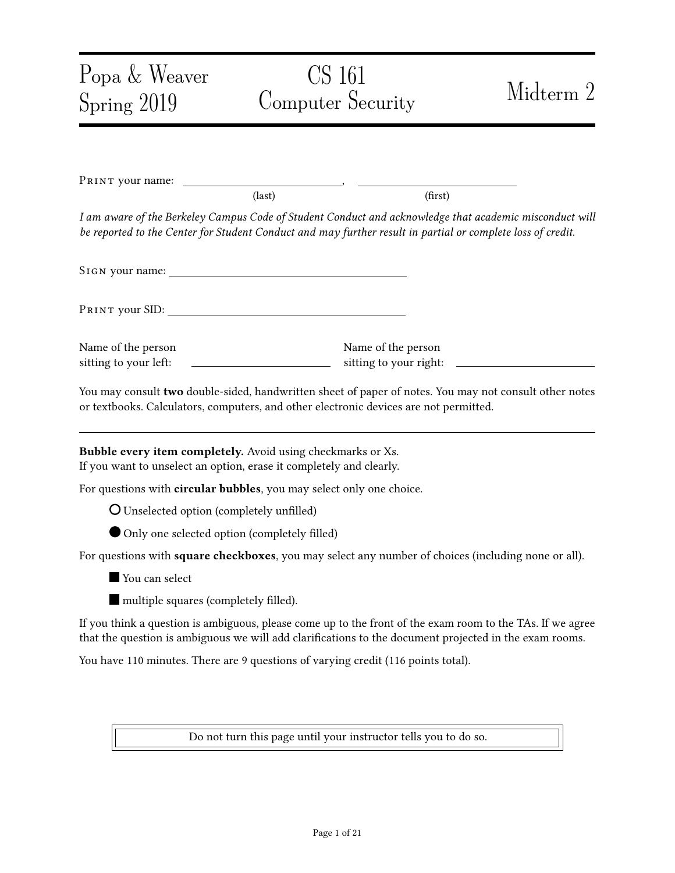(d) In WPA2 Enterprise the device authenticates to an authentication server over TLS to generate a unique PSK for the user before the WPA2 handshake. Yet, in the real world, users usually accept any certificate blindly since there is no notion of "name" (unlike for a web server) which the client can automatically validate.

True or False: In this case, the protocol is secure against a man-in-the-middle attacker.

| ۰<br>× |
|--------|

FALSE

True or False: In this case, the protocol is secure against a passive eavesdropper.

TRUE **O** FALSE

You don't need to provide an explanation.

Solution: 2 points each, 4 points in total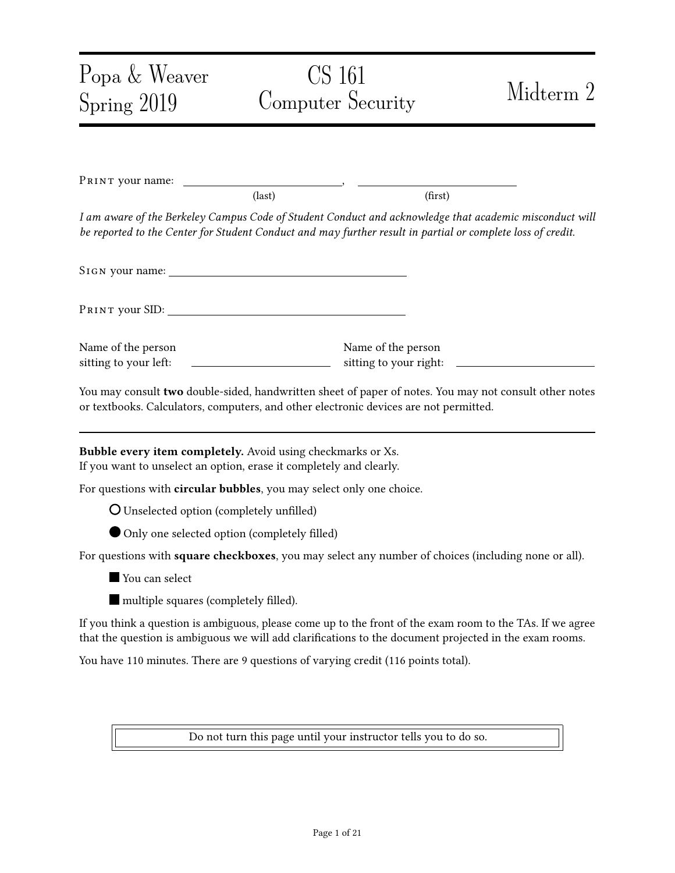### Problem 6 DNS (14 points)

(a) Injecting spoofed packets as an off-path attacker in TCP is much harder than in UDP. Even though TCP has a higher security guarantee, DNS often does not use TCP because TCP has a much higher latency.

Question: Compared with UDP, what is the chief reason why using TCP for DNS has a higher latency? (answer within 10 words)

**Solution:** TCP handshake adds a round trip. (3 points)

(b) Alice wants to access Berkeley's diversity advancement project Dare, dare.berkeley.edu. Her laptop connects to a wireless access point (AP).

\_\_\_\_\_\_\_\_\_\_\_\_\_\_\_\_\_\_\_\_\_\_\_\_\_\_\_\_\_\_\_\_\_\_\_\_\_\_\_\_\_\_\_\_\_\_\_\_\_\_\_\_\_\_\_\_\_\_\_\_\_\_\_\_\_\_\_\_\_\_

Alice worries that a hacker attacks the DNS protocol when her laptop is looking for the IP address of dare. berkel ey. edu. Assume that DNSSEC is not in use.

Question: Which of the following can attack the DNS protocol and have Alice's browser obtain an incorrect IP address for DARE? (Select 0 to 8 options.)



Solution: 4 points. 0.5 points per marking.

(c) Now assume that berkeley.edu implements DNSSEC and Alice's recursive resolver (but not her client) validates DNSSEC.

Question: Which of the following can attack the DNS protocol and have Alice's browser obtain an incorrect IP address for DARE? (Select 0 to 8 options.)

| $\blacksquare$ The laptop's operating system.             | The local DNS resolver of the network.                                                     |
|-----------------------------------------------------------|--------------------------------------------------------------------------------------------|
| $\blacksquare$ The laptop's network interface controller. | The root DNS servers.                                                                      |
| The wireless access point.                                | berkel ey. edu's DNS nameservers.                                                          |
| An on-path attacker on the local network.                 | $\Box$ An on-path attacker between the local DNS<br>resolver and the rest of the Internet. |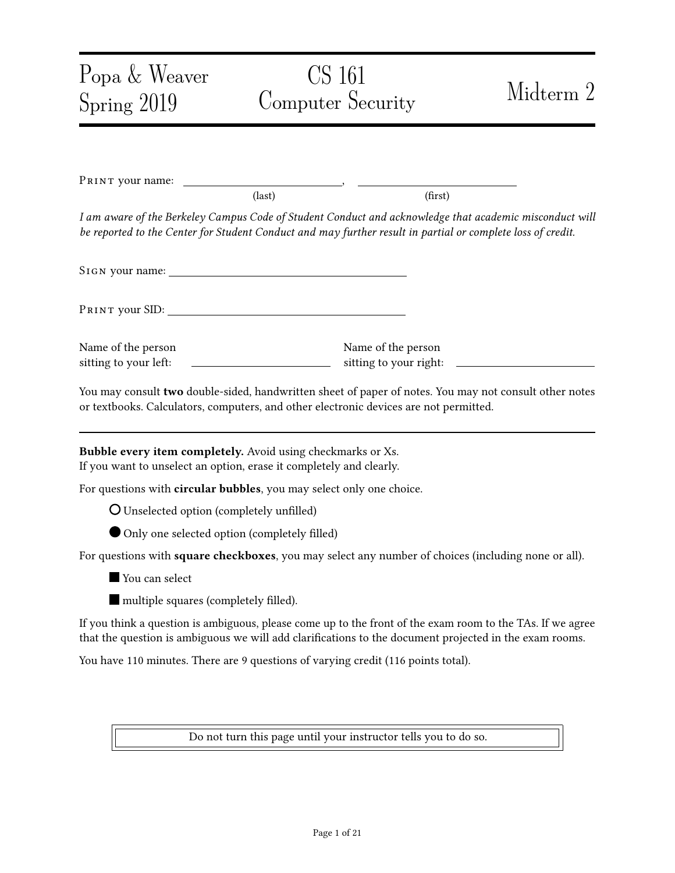Solution: Any on-path attacker can see or modify the DNS traffic. 4 points. 0.5 points per marking.

(d) An attacker wants to poison the local DNS resolver's cache using the Kaminsky attack. We assume that the resolver does not use source port randomization, so the attacker will likely succeed.

In the Kaminsky attack, the attacker asks the resolver for a non-existing subdomain of UC Berkeley, e.g., stanford. berkeley. edu, instead of asking for an existing domain like dare. berkeley. edu.

Question: What is the advantage of asking for a non-existent domain compared to asking for an existing domain? (answer within 10 words)

\_\_\_\_\_\_\_\_\_\_\_\_\_\_\_\_\_\_\_\_\_\_\_\_\_\_\_\_\_\_\_\_\_\_\_\_\_\_\_\_\_\_\_\_\_\_\_\_\_\_\_\_\_\_\_\_\_\_\_\_\_\_\_\_\_\_\_\_\_\_

\_\_\_\_\_\_\_\_\_\_\_\_\_\_\_\_\_\_\_\_\_\_\_\_\_\_\_\_\_\_\_\_\_\_\_\_\_\_\_\_\_\_\_\_\_\_\_\_\_\_\_\_\_\_\_\_\_\_\_\_\_\_\_\_\_\_\_\_\_\_

Solution: When you fail, you can keep trying with another nonexistant name/race until win!

(Note, caching alone is not sufficient, because you do have caching of NXDOMAIN too. The big thing is "race until win". (3 points))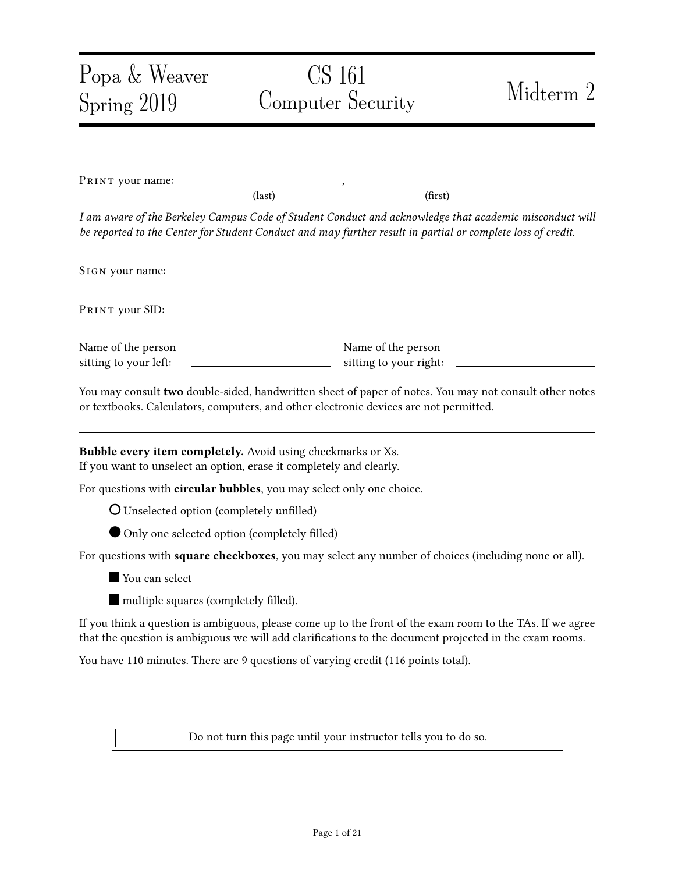#### Problem 7 Same-Origin Policy (13 points) (13 points)

- (a) TRUE or FALSE: Setting "secure" flag on a cookie protects it from a network attacker eavesdropping on an insecure HTTP connection.
	-

TRUE **O** FALSE

You don't need to provide an explanation.

Solution: True. The secure flag means that the cookie can only be transmitted through an HTTPS connection. (2 points)

(b) True or False: After a successful XSS attack, JavaScript can access all cookies set by the website it attacked.

O TRUE PALSE



You don't need to provide an explanation.

Solution: False. With the 'HttpOnly' flag, the web server can prevent some cookies from being read by JavaScript. (2 points)

(c) Which of these URIs have the same origin as "http://same.origin.com:8/a.htm" according to same origin policy? (choose 0 to 4 options)

 $\Box$  http://origin.com: 8 /a.htm

|  | http://same.origin.com:8 |
|--|--------------------------|
|--|--------------------------|

```
http://same.origin.com:8 /a.htm/b  囗 ftp://same.origin.com:8
```
Solution: 0.75 per option. In total, 3 points.

(d) If a page loads a JavaScript file from some other site, this JavaScript file takes the origin of...

Choose one option:

The page that loaded it  $\overline{O}$  The site that hosts the JavaScript file

Solution: 3 points.

(e) Same-origin policy is very useful in preventing many web attacks. Yet, it also inconveniences for web developers - different domains cannot talk to each other.

Question: Provide a specific solution for the web developers to conveniently enable JavaScript in different domains' webpages to conveniently talk to each other. (answer less than 10 words)

\_\_\_\_\_\_\_\_\_\_\_\_\_\_\_\_\_\_\_\_\_\_\_\_\_\_\_\_\_\_\_\_\_\_\_\_\_\_\_\_\_\_\_\_\_\_\_\_\_\_\_\_\_\_\_\_\_\_\_\_\_\_\_\_\_\_\_\_\_\_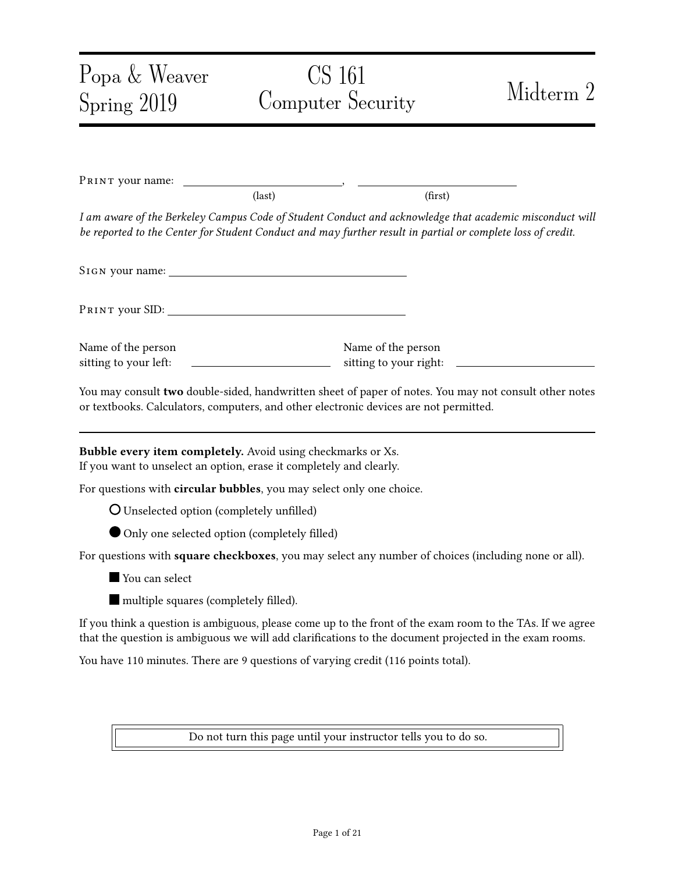Solution: Use JavaScript postMessage function. It is okay to write Postmessage, PostMessage, postmessage, postmsg, PostMsg, postMsg, or Postmsg. (3 points)

If the student says "use the backend", no points because we mentioned "conveniently" in the question.

But, if the student just says "there is a function in JavaScript that allows ..." and makes sense, the student only gets 1 point, as the question said "specific solution".

If the student answers "sendmsg", "senddata", no points.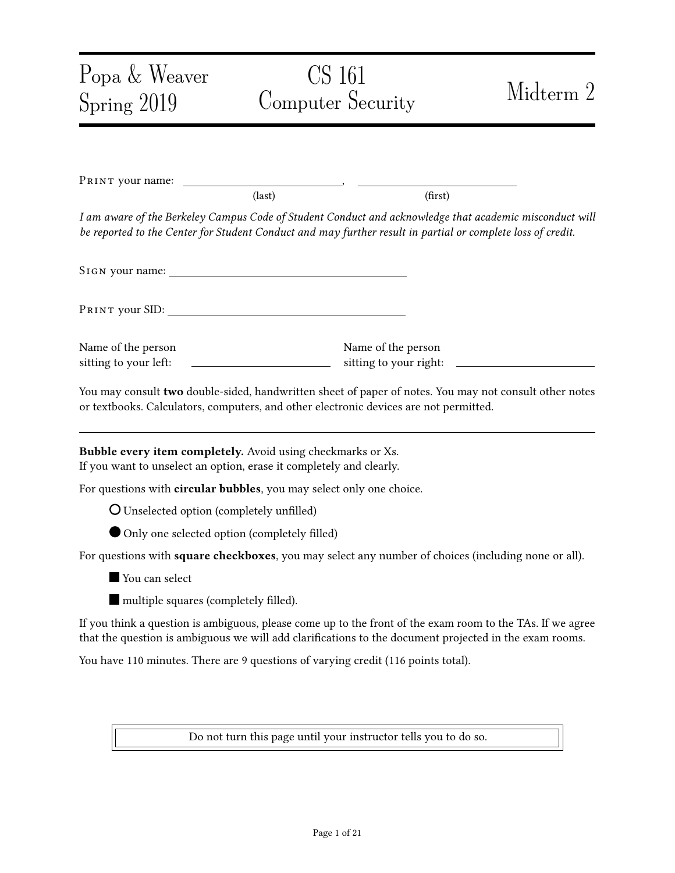Problem 8 HTTP TRACE method (7 points)

Web servers can support another type of HTTP requests, TRACE, as follows.

A TRACE request is like a GET request or a POST request. It simply has the web server echo back the HTTP request sent by the client. *Importantly*, this method will echo back the entire request, including all the cookies sent by the client.

Assume that neither web servers nor web browsers set any restriction preventing the use of TRACE requests. In particular, JavaScript can send a TRACE request and receive its response.<sup>[1](#page-16-0)</sup>

(a) Mallory knows that victim.com is vulnerable to an XSS attack. Mallory also knows that this website stores a session cookie on the user's browser.

However, Mallory's injected JavaScript is unable to access that session cookie.

Question: What is a likely reason for which Mallory's injected JavaScript code failed to access the session cookie? (answer in less than 10 words)

**Solution:** The session cookie is protected by the "HttpOnly" flag. (2 points)

\_\_\_\_\_\_\_\_\_\_\_\_\_\_\_\_\_\_\_\_\_\_\_\_\_\_\_\_\_\_\_\_\_\_\_\_\_\_\_\_\_\_\_\_\_\_\_\_\_\_\_\_\_\_\_\_\_\_\_\_\_\_\_\_\_\_\_\_\_\_

(b) Explain how Mallory's injected JavaScript can steal the cookie and send the cookie to Mallory's personal website evil.com.

You don't need to provide the specific JavaScript code; rather, you only need to provide the high-level ideas. Please arrange your answer in a few steps (no more than three steps).

Outline: Mallory's injected JavaScript, which consists of no more than three steps:

| ______ |
|--------|

2. \_\_\_\_\_\_\_\_\_\_\_\_\_\_\_\_\_\_\_\_\_\_\_\_\_\_\_\_\_\_\_\_\_\_\_\_\_\_\_\_\_\_\_\_\_\_\_\_\_\_\_\_\_\_\_\_\_\_\_\_\_\_\_\_\_\_\_\_\_\_

3. \_\_\_\_\_\_\_\_\_\_\_\_\_\_\_\_\_\_\_\_\_\_\_\_\_\_\_\_\_\_\_\_\_\_\_\_\_\_\_\_\_\_\_\_\_\_\_\_\_\_\_\_\_\_\_\_\_\_\_\_\_\_\_\_\_\_\_\_\_\_

(Answer concisely, put only a single line of text above the dashes, and do not exceed the space.)

Solution: 1. send a TRACE request to some random webpage in  $vi$  ctim. com.

2. read its response.

3. send the response to Mallory's personal website.

In total 5 points.

not using the TRACE request – no point.

<span id="page-16-0"></span><sup>&</sup>lt;sup>1</sup>These days, browsers now all block JavaScript from sending TRACE requests because of this particular attack.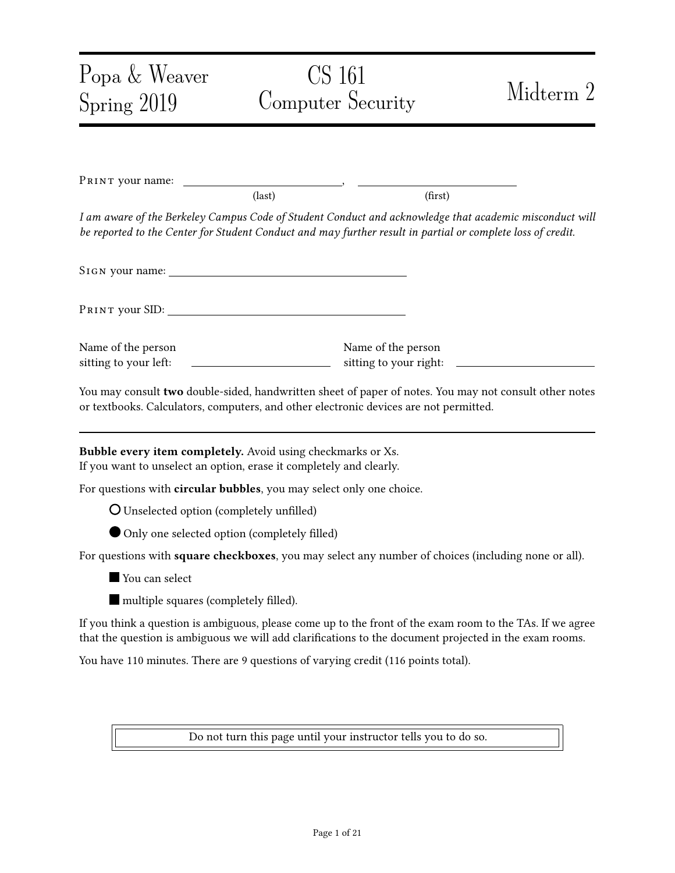forgetting to send the response to Mallory's personal website – 3.5 points.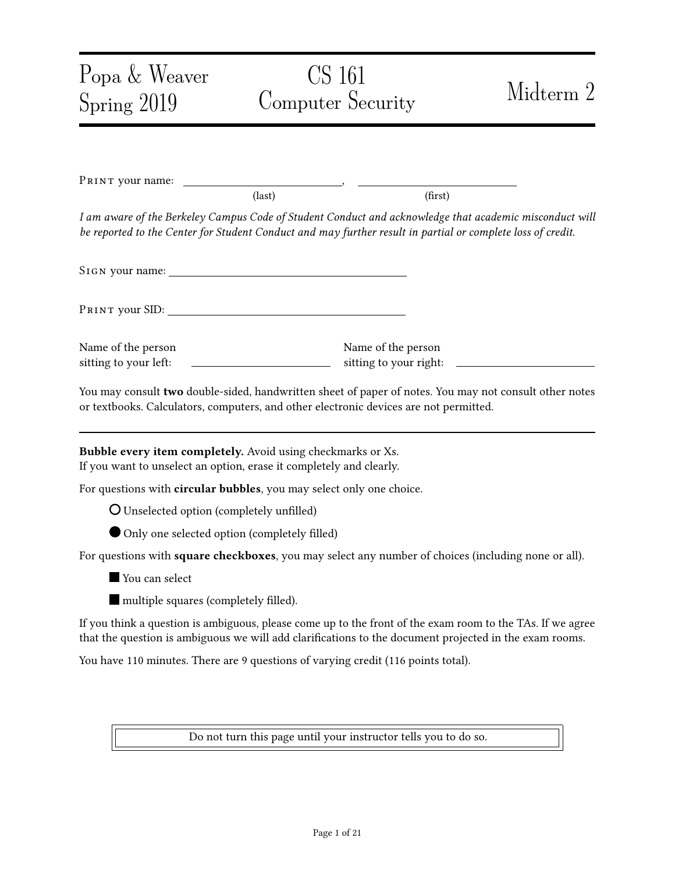### Problem 9 Firewalls and DDoS (12 points)

(a)  $T_{\text{RUE}}$  or  $F_{\text{ALSE}}$ : A stateless firewall can block in-bound  $T\text{CP}$  connections on destination port 80 to devices on the internal network, while still allowing these devices to make out-bound connections using destination port 80.



- (b) TRUE or FALSE: A stateless firewall can block in-bound UDP connections on destination port 53 to devices on the internal network, while still allowing these devices to make out-bound connections using destination port 53.
	-



(c) TRUE or FALSE: SYN flooding attacks can be effectively prevented by rate-limiting the number of TCP connections from a given IP address.

O TRUE PALSE

Solution: 2 points each above.

(d) Consider the following implementation of SYN cookies. During the TCP handshake, the implementation sets the sequence number of the SYN ACK packet to be the first 32 bits of HMAC (), where is the time rounded to the nearest second and is a secret key known only by the server.

\_\_\_\_\_\_\_\_\_\_\_\_\_\_\_\_\_\_\_\_\_\_\_\_\_\_\_\_\_\_\_\_\_\_\_\_\_\_\_\_\_\_\_\_\_\_\_\_\_\_\_\_\_\_\_\_\_\_\_\_\_\_\_\_\_\_\_\_\_\_

\_\_\_\_\_\_\_\_\_\_\_\_\_\_\_\_\_\_\_\_\_\_\_\_\_\_\_\_\_\_\_\_\_\_\_\_\_\_\_\_\_\_\_\_\_\_\_\_\_\_\_\_\_\_\_\_\_\_\_\_\_\_\_\_\_\_\_\_\_\_

\_\_\_\_\_\_\_\_\_\_\_\_\_\_\_\_\_\_\_\_\_\_\_\_\_\_\_\_\_\_\_\_\_\_\_\_\_\_\_\_\_\_\_\_\_\_\_\_\_\_\_\_\_\_\_\_\_\_\_\_\_\_\_\_\_\_\_\_\_\_

Question: Explain why such a design of SYN cookies makes it easier for an off-path attacker to spoof TCP packets.

Solution: Off-path attackers could make connections to server, record sequence numbers used (3 points)

 $(e)$  What additional piece of information could you include in the MAC in order to fix the problem above?

Answer concisely:

Solution: Client IP address (also client port) (3 points)